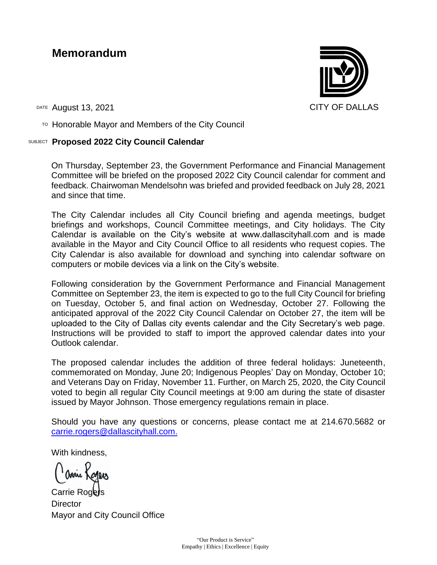## **Memorandum**

DATE August 13, 2021 CITY OF DALLAS

TO Honorable Mayor and Members of the City Council

## SUBJECT **Proposed 2022 City Council Calendar**

On Thursday, September 23, the Government Performance and Financial Management Committee will be briefed on the proposed 2022 City Council calendar for comment and feedback. Chairwoman Mendelsohn was briefed and provided feedback on July 28, 2021 and since that time.

The City Calendar includes all City Council briefing and agenda meetings, budget briefings and workshops, Council Committee meetings, and City holidays. The City Calendar is available on the City's website at www.dallascityhall.com and is made available in the Mayor and City Council Office to all residents who request copies. The City Calendar is also available for download and synching into calendar software on computers or mobile devices via a link on the City's website.

Following consideration by the Government Performance and Financial Management Committee on September 23, the item is expected to go to the full City Council for briefing on Tuesday, October 5, and final action on Wednesday, October 27. Following the anticipated approval of the 2022 City Council Calendar on October 27, the item will be uploaded to the City of Dallas city events calendar and the City Secretary's web page. Instructions will be provided to staff to import the approved calendar dates into your Outlook calendar.

The proposed calendar includes the addition of three federal holidays: Juneteenth, commemorated on Monday, June 20; Indigenous Peoples' Day on Monday, October 10; and Veterans Day on Friday, November 11. Further, on March 25, 2020, the City Council voted to begin all regular City Council meetings at 9:00 am during the state of disaster issued by Mayor Johnson. Those emergency regulations remain in place.

Should you have any questions or concerns, please contact me at 214.670.5682 or [carrie.rogers@dallascityhall.com.](mailto:carrie.rogers@dallascityhall.com)

With kindness,

Carrie Rogets **Director** Mayor and City Council Office